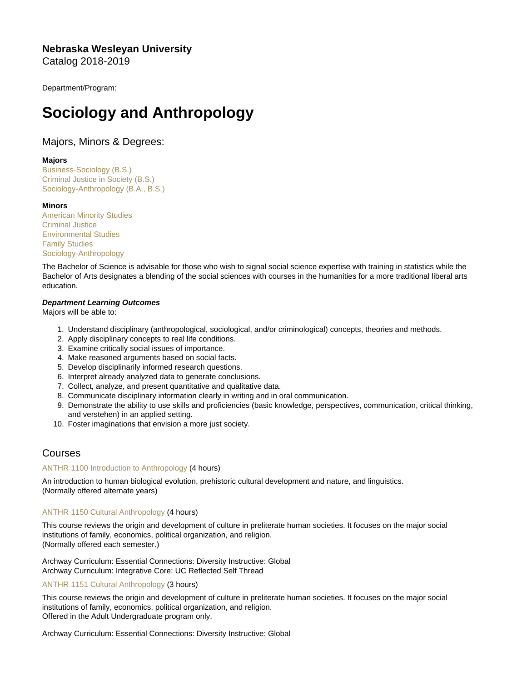Nebraska Wesleyan University Catalog 2018-2019

Department/Program:

# Sociology and Anthropology

# Majors, Minors & Degrees:

## Majors

[Business-Sociology \(B.S.\)](https://catalog.nebrwesleyan.edu/cc/2018-2019/mmd/331002) [Criminal Justice in Society \(B.S.\)](https://catalog.nebrwesleyan.edu/cc/2018-2019/mmd/331059) [Sociology-Anthropology \(B.A., B.S.\)](https://catalog.nebrwesleyan.edu/cc/2018-2019/mmd/331000)

## **Minors**

[American Minority Studies](https://catalog.nebrwesleyan.edu/cc/2018-2019/mmd/331014) [Criminal Justice](https://catalog.nebrwesleyan.edu/cc/2018-2019/mmd/331004) [Environmental Studies](https://catalog.nebrwesleyan.edu/cc/2018-2019/mmd/331015) [Family Studies](https://catalog.nebrwesleyan.edu/cc/2018-2019/mmd/331016) [Sociology-Anthropology](https://catalog.nebrwesleyan.edu/cc/2018-2019/mmd/331003)

The Bachelor of Science is advisable for those who wish to signal social science expertise with training in statistics while the Bachelor of Arts designates a blending of the social sciences with courses in the humanities for a more traditional liberal arts education.

Department Learning Outcomes Majors will be able to:

- 1. Understand disciplinary (anthropological, sociological, and/or criminological) concepts, theories and methods.
- 2. Apply disciplinary concepts to real life conditions.
- 3. Examine critically social issues of importance.
- 4. Make reasoned arguments based on social facts.
- 5. Develop disciplinarily informed research questions.
- 6. Interpret already analyzed data to generate conclusions.
- 7. Collect, analyze, and present quantitative and qualitative data.
- 8. Communicate disciplinary information clearly in writing and in oral communication.
- 9. Demonstrate the ability to use skills and proficiencies (basic knowledge, perspectives, communication, critical thinking, and verstehen) in an applied setting.
- 10. Foster imaginations that envision a more just society.

# Courses

## [ANTHR 1100 Introduction to Anthropology](https://catalog.nebrwesleyan.edu/node/328643) (4 hours)

An introduction to human biological evolution, prehistoric cultural development and nature, and linguistics. (Normally offered alternate years)

## [ANTHR 1150 Cultural Anthropology](https://catalog.nebrwesleyan.edu/node/328644) (4 hours)

This course reviews the origin and development of culture in preliterate human societies. It focuses on the major social institutions of family, economics, political organization, and religion. (Normally offered each semester.)

Archway Curriculum: Essential Connections: Diversity Instructive: Global Archway Curriculum: Integrative Core: UC Reflected Self Thread

## [ANTHR 1151 Cultural Anthropology](https://catalog.nebrwesleyan.edu/node/328943) (3 hours)

This course reviews the origin and development of culture in preliterate human societies. It focuses on the major social institutions of family, economics, political organization, and religion. Offered in the Adult Undergraduate program only.

Archway Curriculum: Essential Connections: Diversity Instructive: Global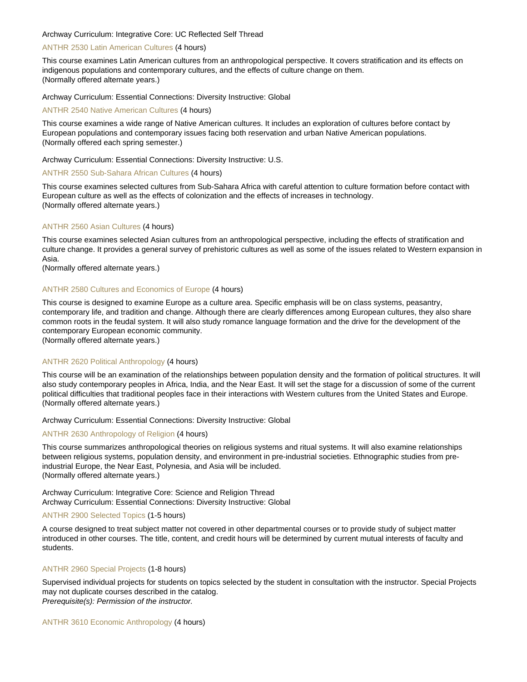#### Archway Curriculum: Integrative Core: UC Reflected Self Thread

## [ANTHR 2530 Latin American Cultures](https://catalog.nebrwesleyan.edu/node/327723) (4 hours)

This course examines Latin American cultures from an anthropological perspective. It covers stratification and its effects on indigenous populations and contemporary cultures, and the effects of culture change on them. (Normally offered alternate years.)

Archway Curriculum: Essential Connections: Diversity Instructive: Global

#### [ANTHR 2540 Native American Cultures](https://catalog.nebrwesleyan.edu/node/327724) (4 hours)

This course examines a wide range of Native American cultures. It includes an exploration of cultures before contact by European populations and contemporary issues facing both reservation and urban Native American populations. (Normally offered each spring semester.)

Archway Curriculum: Essential Connections: Diversity Instructive: U.S.

## [ANTHR 2550 Sub-Sahara African Cultures](https://catalog.nebrwesleyan.edu/node/327725) (4 hours)

This course examines selected cultures from Sub-Sahara Africa with careful attention to culture formation before contact with European culture as well as the effects of colonization and the effects of increases in technology. (Normally offered alternate years.)

#### [ANTHR 2560 Asian Cultures](https://catalog.nebrwesleyan.edu/node/327726) (4 hours)

This course examines selected Asian cultures from an anthropological perspective, including the effects of stratification and culture change. It provides a general survey of prehistoric cultures as well as some of the issues related to Western expansion in Asia.

(Normally offered alternate years.)

#### [ANTHR 2580 Cultures and Economics of Europe](https://catalog.nebrwesleyan.edu/node/327727) (4 hours)

This course is designed to examine Europe as a culture area. Specific emphasis will be on class systems, peasantry, contemporary life, and tradition and change. Although there are clearly differences among European cultures, they also share common roots in the feudal system. It will also study romance language formation and the drive for the development of the contemporary European economic community.

(Normally offered alternate years.)

#### [ANTHR 2620 Political Anthropology](https://catalog.nebrwesleyan.edu/node/328645) (4 hours)

This course will be an examination of the relationships between population density and the formation of political structures. It will also study contemporary peoples in Africa, India, and the Near East. It will set the stage for a discussion of some of the current political difficulties that traditional peoples face in their interactions with Western cultures from the United States and Europe. (Normally offered alternate years.)

#### Archway Curriculum: Essential Connections: Diversity Instructive: Global

## [ANTHR 2630 Anthropology of Religion](https://catalog.nebrwesleyan.edu/node/328646) (4 hours)

This course summarizes anthropological theories on religious systems and ritual systems. It will also examine relationships between religious systems, population density, and environment in pre-industrial societies. Ethnographic studies from preindustrial Europe, the Near East, Polynesia, and Asia will be included. (Normally offered alternate years.)

Archway Curriculum: Integrative Core: Science and Religion Thread Archway Curriculum: Essential Connections: Diversity Instructive: Global

#### [ANTHR 2900 Selected Topics](https://catalog.nebrwesleyan.edu/node/327728) (1-5 hours)

A course designed to treat subject matter not covered in other departmental courses or to provide study of subject matter introduced in other courses. The title, content, and credit hours will be determined by current mutual interests of faculty and students.

#### [ANTHR 2960 Special Projects](https://catalog.nebrwesleyan.edu/node/328848) (1-8 hours)

Supervised individual projects for students on topics selected by the student in consultation with the instructor. Special Projects may not duplicate courses described in the catalog. Prerequisite(s): Permission of the instructor.

[ANTHR 3610 Economic Anthropology](https://catalog.nebrwesleyan.edu/node/327730) (4 hours)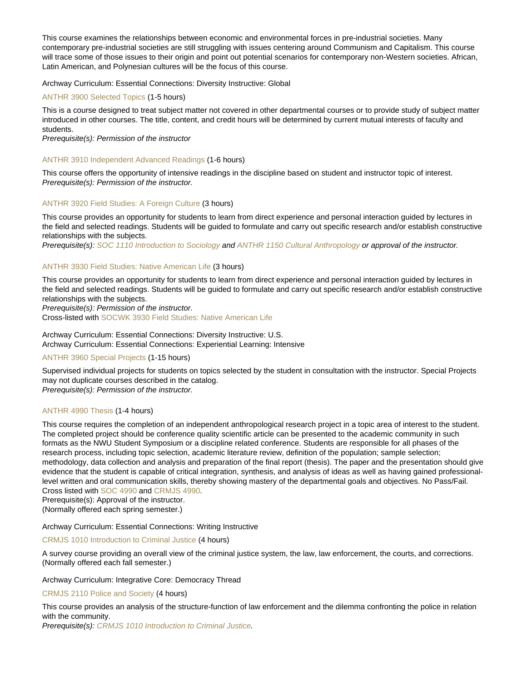This course examines the relationships between economic and environmental forces in pre-industrial societies. Many contemporary pre-industrial societies are still struggling with issues centering around Communism and Capitalism. This course will trace some of those issues to their origin and point out potential scenarios for contemporary non-Western societies. African, Latin American, and Polynesian cultures will be the focus of this course.

## Archway Curriculum: Essential Connections: Diversity Instructive: Global

#### [ANTHR 3900 Selected Topics](https://catalog.nebrwesleyan.edu/node/327731) (1-5 hours)

This is a course designed to treat subject matter not covered in other departmental courses or to provide study of subject matter introduced in other courses. The title, content, and credit hours will be determined by current mutual interests of faculty and students.

Prerequisite(s): Permission of the instructor

#### [ANTHR 3910 Independent Advanced Readings](https://catalog.nebrwesleyan.edu/node/330266) (1-6 hours)

This course offers the opportunity of intensive readings in the discipline based on student and instructor topic of interest. Prerequisite(s): Permission of the instructor.

## [ANTHR 3920 Field Studies: A Foreign Culture](https://catalog.nebrwesleyan.edu/node/327732) (3 hours)

This course provides an opportunity for students to learn from direct experience and personal interaction guided by lectures in the field and selected readings. Students will be guided to formulate and carry out specific research and/or establish constructive relationships with the subjects.

Prerequisite(s): [SOC 1110 Introduction to Sociology](https://catalog.nebrwesleyan.edu/cc/2021-2022/course/360834) and [ANTHR 1150 Cultural Anthropology](https://catalog.nebrwesleyan.edu/cc/2021-2022/course/360779) or approval of the instructor.

#### [ANTHR 3930 Field Studies: Native American Life](https://catalog.nebrwesleyan.edu/node/327733) (3 hours)

This course provides an opportunity for students to learn from direct experience and personal interaction guided by lectures in the field and selected readings. Students will be guided to formulate and carry out specific research and/or establish constructive relationships with the subjects.

Prerequisite(s): Permission of the instructor.

Cross-listed with [SOCWK 3930 Field Studies: Native American Life](https://catalog.nebrwesleyan.edu/cc/2021-2022/course/360222)

Archway Curriculum: Essential Connections: Diversity Instructive: U.S. Archway Curriculum: Essential Connections: Experiential Learning: Intensive

## [ANTHR 3960 Special Projects](https://catalog.nebrwesleyan.edu/node/329059) (1-15 hours)

Supervised individual projects for students on topics selected by the student in consultation with the instructor. Special Projects may not duplicate courses described in the catalog.

Prerequisite(s): Permission of the instructor.

## [ANTHR 4990 Thesis](https://catalog.nebrwesleyan.edu/node/327737) (1-4 hours)

This course requires the completion of an independent anthropological research project in a topic area of interest to the student. The completed project should be conference quality scientific article can be presented to the academic community in such formats as the NWU Student Symposium or a discipline related conference. Students are responsible for all phases of the research process, including topic selection, academic literature review, definition of the population; sample selection; methodology, data collection and analysis and preparation of the final report (thesis). The paper and the presentation should give evidence that the student is capable of critical integration, synthesis, and analysis of ideas as well as having gained professionallevel written and oral communication skills, thereby showing mastery of the departmental goals and objectives. No Pass/Fail. Cross listed with [SOC 4990](https://catalog.nebrwesleyan.edu/cc/2021-2022/course/360208) and [CRMJS 4990.](https://catalog.nebrwesleyan.edu/cc/2021-2022/course/360995)

Prerequisite(s): Approval of the instructor.

(Normally offered each spring semester.)

Archway Curriculum: Essential Connections: Writing Instructive

#### [CRMJS 1010 Introduction to Criminal Justice](https://catalog.nebrwesleyan.edu/node/327738) (4 hours)

A survey course providing an overall view of the criminal justice system, the law, law enforcement, the courts, and corrections. (Normally offered each fall semester.)

#### Archway Curriculum: Integrative Core: Democracy Thread

[CRMJS 2110 Police and Society](https://catalog.nebrwesleyan.edu/node/328651) (4 hours)

This course provides an analysis of the structure-function of law enforcement and the dilemma confronting the police in relation with the community.

Prerequisite(s): [CRMJS 1010 Introduction to Criminal Justice.](https://catalog.nebrwesleyan.edu/cc/2021-2022/course/359875)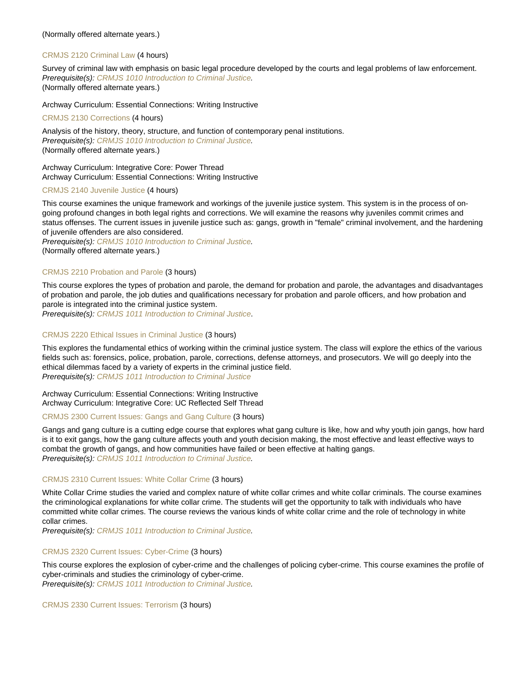## [CRMJS 2120 Criminal Law](https://catalog.nebrwesleyan.edu/node/328652) (4 hours)

Survey of criminal law with emphasis on basic legal procedure developed by the courts and legal problems of law enforcement. Prerequisite(s): [CRMJS 1010 Introduction to Criminal Justice.](https://catalog.nebrwesleyan.edu/cc/2021-2022/course/359875) (Normally offered alternate years.)

Archway Curriculum: Essential Connections: Writing Instructive

[CRMJS 2130 Corrections](https://catalog.nebrwesleyan.edu/node/328653) (4 hours)

Analysis of the history, theory, structure, and function of contemporary penal institutions. Prerequisite(s): [CRMJS 1010 Introduction to Criminal Justice.](https://catalog.nebrwesleyan.edu/cc/2021-2022/course/359875) (Normally offered alternate years.)

Archway Curriculum: Integrative Core: Power Thread Archway Curriculum: Essential Connections: Writing Instructive

## [CRMJS 2140 Juvenile Justice](https://catalog.nebrwesleyan.edu/node/328822) (4 hours)

This course examines the unique framework and workings of the juvenile justice system. This system is in the process of ongoing profound changes in both legal rights and corrections. We will examine the reasons why juveniles commit crimes and status offenses. The current issues in juvenile justice such as: gangs, growth in "female" criminal involvement, and the hardening of juvenile offenders are also considered.

Prerequisite(s): [CRMJS 1010 Introduction to Criminal Justice.](https://catalog.nebrwesleyan.edu/cc/2021-2022/course/359875) (Normally offered alternate years.)

## [CRMJS 2210 Probation and Parole](https://catalog.nebrwesleyan.edu/node/330337) (3 hours)

This course explores the types of probation and parole, the demand for probation and parole, the advantages and disadvantages of probation and parole, the job duties and qualifications necessary for probation and parole officers, and how probation and parole is integrated into the criminal justice system.

Prerequisite(s): [CRMJS 1011 Introduction to Criminal Justice.](https://catalog.nebrwesleyan.edu/cc/2018-2019/course/328853)

## [CRMJS 2220 Ethical Issues in Criminal Justice](https://catalog.nebrwesleyan.edu/node/330338) (3 hours)

This explores the fundamental ethics of working within the criminal justice system. The class will explore the ethics of the various fields such as: forensics, police, probation, parole, corrections, defense attorneys, and prosecutors. We will go deeply into the ethical dilemmas faced by a variety of experts in the criminal justice field. Prerequisite(s): [CRMJS 1011 Introduction to Criminal Justice](https://catalog.nebrwesleyan.edu/cc/2018-2019/course/328853)

Archway Curriculum: Essential Connections: Writing Instructive Archway Curriculum: Integrative Core: UC Reflected Self Thread

## [CRMJS 2300 Current Issues: Gangs and Gang Culture](https://catalog.nebrwesleyan.edu/node/330339) (3 hours)

Gangs and gang culture is a cutting edge course that explores what gang culture is like, how and why youth join gangs, how hard is it to exit gangs, how the gang culture affects youth and youth decision making, the most effective and least effective ways to combat the growth of gangs, and how communities have failed or been effective at halting gangs. Prerequisite(s): [CRMJS 1011 Introduction to Criminal Justice.](https://catalog.nebrwesleyan.edu/cc/2018-2019/course/328853)

## [CRMJS 2310 Current Issues: White Collar Crime](https://catalog.nebrwesleyan.edu/node/330340) (3 hours)

White Collar Crime studies the varied and complex nature of white collar crimes and white collar criminals. The course examines the criminological explanations for white collar crime. The students will get the opportunity to talk with individuals who have committed white collar crimes. The course reviews the various kinds of white collar crime and the role of technology in white collar crimes.

Prerequisite(s): [CRMJS 1011 Introduction to Criminal Justice.](https://catalog.nebrwesleyan.edu/cc/2018-2019/course/328853)

## [CRMJS 2320 Current Issues: Cyber-Crime](https://catalog.nebrwesleyan.edu/node/330341) (3 hours)

This course explores the explosion of cyber-crime and the challenges of policing cyber-crime. This course examines the profile of cyber-criminals and studies the criminology of cyber-crime. Prerequisite(s): [CRMJS 1011 Introduction to Criminal Justice.](https://catalog.nebrwesleyan.edu/cc/2018-2019/course/328853)

[CRMJS 2330 Current Issues: Terrorism](https://catalog.nebrwesleyan.edu/node/330342) (3 hours)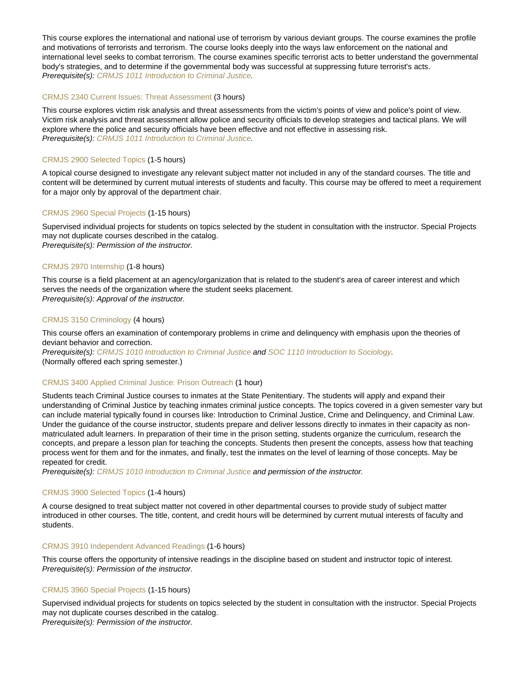This course explores the international and national use of terrorism by various deviant groups. The course examines the profile and motivations of terrorists and terrorism. The course looks deeply into the ways law enforcement on the national and international level seeks to combat terrorism. The course examines specific terrorist acts to better understand the governmental body's strategies, and to determine if the governmental body was successful at suppressing future terrorist's acts. Prerequisite(s): [CRMJS 1011 Introduction to Criminal Justice.](https://catalog.nebrwesleyan.edu/cc/2018-2019/course/328853)

## [CRMJS 2340 Current Issues: Threat Assessment](https://catalog.nebrwesleyan.edu/node/330343) (3 hours)

This course explores victim risk analysis and threat assessments from the victim's points of view and police's point of view. Victim risk analysis and threat assessment allow police and security officials to develop strategies and tactical plans. We will explore where the police and security officials have been effective and not effective in assessing risk. Prerequisite(s): [CRMJS 1011 Introduction to Criminal Justice.](https://catalog.nebrwesleyan.edu/cc/2018-2019/course/328853)

## [CRMJS 2900 Selected Topics](https://catalog.nebrwesleyan.edu/node/328930) (1-5 hours)

A topical course designed to investigate any relevant subject matter not included in any of the standard courses. The title and content will be determined by current mutual interests of students and faculty. This course may be offered to meet a requirement for a major only by approval of the department chair.

#### [CRMJS 2960 Special Projects](https://catalog.nebrwesleyan.edu/node/327740) (1-15 hours)

Supervised individual projects for students on topics selected by the student in consultation with the instructor. Special Projects may not duplicate courses described in the catalog. Prerequisite(s): Permission of the instructor.

#### [CRMJS 2970 Internship](https://catalog.nebrwesleyan.edu/node/327741) (1-8 hours)

This course is a field placement at an agency/organization that is related to the student's area of career interest and which serves the needs of the organization where the student seeks placement. Prerequisite(s): Approval of the instructor.

#### [CRMJS 3150 Criminology](https://catalog.nebrwesleyan.edu/node/328656) (4 hours)

This course offers an examination of contemporary problems in crime and delinquency with emphasis upon the theories of deviant behavior and correction.

Prerequisite(s): [CRMJS 1010 Introduction to Criminal Justice](https://catalog.nebrwesleyan.edu/cc/2021-2022/course/359875) and [SOC 1110 Introduction to Sociology.](https://catalog.nebrwesleyan.edu/cc/2021-2022/course/360834) (Normally offered each spring semester.)

#### [CRMJS 3400 Applied Criminal Justice: Prison Outreach](https://catalog.nebrwesleyan.edu/node/330808) (1 hour)

Students teach Criminal Justice courses to inmates at the State Penitentiary. The students will apply and expand their understanding of Criminal Justice by teaching inmates criminal justice concepts. The topics covered in a given semester vary but can include material typically found in courses like: Introduction to Criminal Justice, Crime and Delinquency, and Criminal Law. Under the guidance of the course instructor, students prepare and deliver lessons directly to inmates in their capacity as nonmatriculated adult learners. In preparation of their time in the prison setting, students organize the curriculum, research the concepts, and prepare a lesson plan for teaching the concepts. Students then present the concepts, assess how that teaching process went for them and for the inmates, and finally, test the inmates on the level of learning of those concepts. May be repeated for credit.

Prerequisite(s): [CRMJS 1010 Introduction to Criminal Justice](https://catalog.nebrwesleyan.edu/cc/2021-2022/course/359875) and permission of the instructor.

#### [CRMJS 3900 Selected Topics](https://catalog.nebrwesleyan.edu/node/327745) (1-4 hours)

A course designed to treat subject matter not covered in other departmental courses to provide study of subject matter introduced in other courses. The title, content, and credit hours will be determined by current mutual interests of faculty and students.

#### [CRMJS 3910 Independent Advanced Readings](https://catalog.nebrwesleyan.edu/node/328860) (1-6 hours)

This course offers the opportunity of intensive readings in the discipline based on student and instructor topic of interest. Prerequisite(s): Permission of the instructor.

#### [CRMJS 3960 Special Projects](https://catalog.nebrwesleyan.edu/node/329174) (1-15 hours)

Supervised individual projects for students on topics selected by the student in consultation with the instructor. Special Projects may not duplicate courses described in the catalog. Prerequisite(s): Permission of the instructor.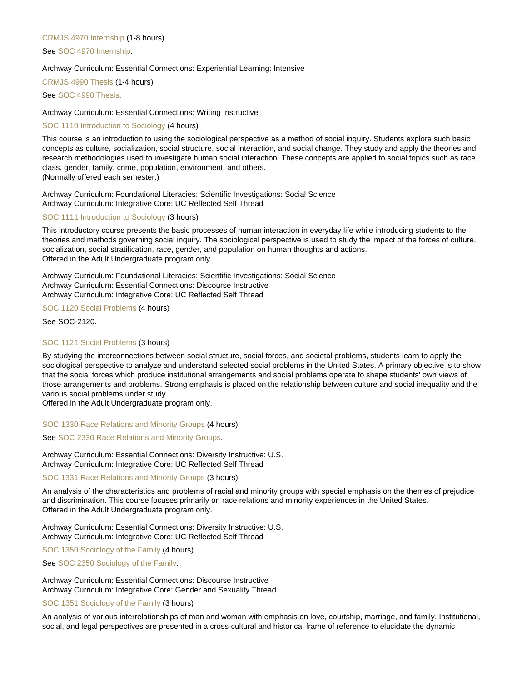## [CRMJS 4970 Internship](https://catalog.nebrwesleyan.edu/node/327750) (1-8 hours)

## See [SOC 4970 Internship.](https://catalog.nebrwesleyan.edu/cc/2021-2022/course/360207)

## Archway Curriculum: Essential Connections: Experiential Learning: Intensive

## [CRMJS 4990 Thesis](https://catalog.nebrwesleyan.edu/node/328861) (1-4 hours)

See [SOC 4990 Thesis.](https://catalog.nebrwesleyan.edu/cc/2021-2022/course/360208)

## Archway Curriculum: Essential Connections: Writing Instructive

## [SOC 1110 Introduction to Sociology](https://catalog.nebrwesleyan.edu/node/328700) (4 hours)

This course is an introduction to using the sociological perspective as a method of social inquiry. Students explore such basic concepts as culture, socialization, social structure, social interaction, and social change. They study and apply the theories and research methodologies used to investigate human social interaction. These concepts are applied to social topics such as race, class, gender, family, crime, population, environment, and others. (Normally offered each semester.)

Archway Curriculum: Foundational Literacies: Scientific Investigations: Social Science Archway Curriculum: Integrative Core: UC Reflected Self Thread

#### [SOC 1111 Introduction to Sociology](https://catalog.nebrwesleyan.edu/node/328942) (3 hours)

This introductory course presents the basic processes of human interaction in everyday life while introducing students to the theories and methods governing social inquiry. The sociological perspective is used to study the impact of the forces of culture, socialization, social stratification, race, gender, and population on human thoughts and actions. Offered in the Adult Undergraduate program only.

Archway Curriculum: Foundational Literacies: Scientific Investigations: Social Science Archway Curriculum: Essential Connections: Discourse Instructive Archway Curriculum: Integrative Core: UC Reflected Self Thread

## [SOC 1120 Social Problems](https://catalog.nebrwesleyan.edu/node/328701) (4 hours)

See SOC-2120.

## [SOC 1121 Social Problems](https://catalog.nebrwesleyan.edu/node/330640) (3 hours)

By studying the interconnections between social structure, social forces, and societal problems, students learn to apply the sociological perspective to analyze and understand selected social problems in the United States. A primary objective is to show that the social forces which produce institutional arrangements and social problems operate to shape students' own views of those arrangements and problems. Strong emphasis is placed on the relationship between culture and social inequality and the various social problems under study.

Offered in the Adult Undergraduate program only.

#### [SOC 1330 Race Relations and Minority Groups](https://catalog.nebrwesleyan.edu/node/328702) (4 hours)

See [SOC 2330 Race Relations and Minority Groups.](https://catalog.nebrwesleyan.edu/cc/2021-2022/course/360976)

Archway Curriculum: Essential Connections: Diversity Instructive: U.S. Archway Curriculum: Integrative Core: UC Reflected Self Thread

## [SOC 1331 Race Relations and Minority Groups](https://catalog.nebrwesleyan.edu/node/329511) (3 hours)

An analysis of the characteristics and problems of racial and minority groups with special emphasis on the themes of prejudice and discrimination. This course focuses primarily on race relations and minority experiences in the United States. Offered in the Adult Undergraduate program only.

Archway Curriculum: Essential Connections: Diversity Instructive: U.S. Archway Curriculum: Integrative Core: UC Reflected Self Thread

[SOC 1350 Sociology of the Family](https://catalog.nebrwesleyan.edu/node/328703) (4 hours)

See [SOC 2350 Sociology of the Family](https://catalog.nebrwesleyan.edu/cc/2021-2022/course/360977).

Archway Curriculum: Essential Connections: Discourse Instructive Archway Curriculum: Integrative Core: Gender and Sexuality Thread

#### [SOC 1351 Sociology of the Family](https://catalog.nebrwesleyan.edu/node/330450) (3 hours)

An analysis of various interrelationships of man and woman with emphasis on love, courtship, marriage, and family. Institutional, social, and legal perspectives are presented in a cross-cultural and historical frame of reference to elucidate the dynamic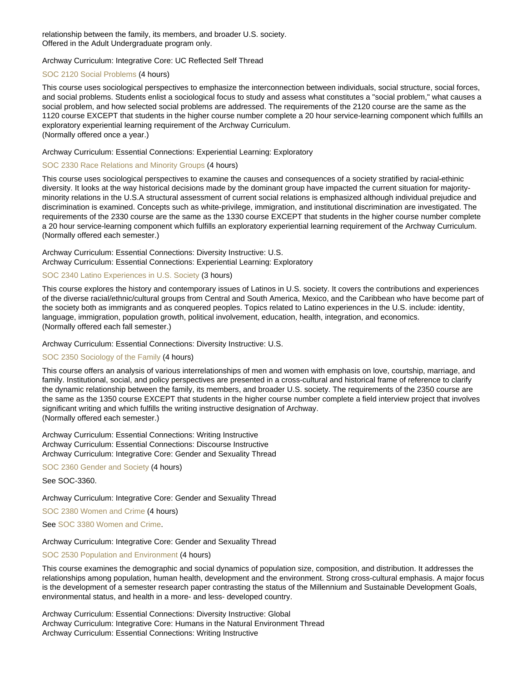relationship between the family, its members, and broader U.S. society. Offered in the Adult Undergraduate program only.

## Archway Curriculum: Integrative Core: UC Reflected Self Thread

## [SOC 2120 Social Problems](https://catalog.nebrwesleyan.edu/node/328841) (4 hours)

This course uses sociological perspectives to emphasize the interconnection between individuals, social structure, social forces, and social problems. Students enlist a sociological focus to study and assess what constitutes a "social problem," what causes a social problem, and how selected social problems are addressed. The requirements of the 2120 course are the same as the 1120 course EXCEPT that students in the higher course number complete a 20 hour service-learning component which fulfills an exploratory experiential learning requirement of the Archway Curriculum. (Normally offered once a year.)

## Archway Curriculum: Essential Connections: Experiential Learning: Exploratory

#### [SOC 2330 Race Relations and Minority Groups](https://catalog.nebrwesleyan.edu/node/328842) (4 hours)

This course uses sociological perspectives to examine the causes and consequences of a society stratified by racial-ethinic diversity. It looks at the way historical decisions made by the dominant group have impacted the current situation for majorityminority relations in the U.S.A structural assessment of current social relations is emphasized although individual prejudice and discrimination is examined. Concepts such as white-privilege, immigration, and institutional discrimination are investigated. The requirements of the 2330 course are the same as the 1330 course EXCEPT that students in the higher course number complete a 20 hour service-learning component which fulfills an exploratory experiential learning requirement of the Archway Curriculum. (Normally offered each semester.)

## Archway Curriculum: Essential Connections: Diversity Instructive: U.S. Archway Curriculum: Essential Connections: Experiential Learning: Exploratory

## [SOC 2340 Latino Experiences in U.S. Society](https://catalog.nebrwesleyan.edu/node/328705) (3 hours)

This course explores the history and contemporary issues of Latinos in U.S. society. It covers the contributions and experiences of the diverse racial/ethnic/cultural groups from Central and South America, Mexico, and the Caribbean who have become part of the society both as immigrants and as conquered peoples. Topics related to Latino experiences in the U.S. include: identity, language, immigration, population growth, political involvement, education, health, integration, and economics. (Normally offered each fall semester.)

#### Archway Curriculum: Essential Connections: Diversity Instructive: U.S.

## [SOC 2350 Sociology of the Family](https://catalog.nebrwesleyan.edu/node/328843) (4 hours)

This course offers an analysis of various interrelationships of men and women with emphasis on love, courtship, marriage, and family. Institutional, social, and policy perspectives are presented in a cross-cultural and historical frame of reference to clarify the dynamic relationship between the family, its members, and broader U.S. society. The requirements of the 2350 course are the same as the 1350 course EXCEPT that students in the higher course number complete a field interview project that involves significant writing and which fulfills the writing instructive designation of Archway. (Normally offered each semester.)

Archway Curriculum: Essential Connections: Writing Instructive Archway Curriculum: Essential Connections: Discourse Instructive Archway Curriculum: Integrative Core: Gender and Sexuality Thread

[SOC 2360 Gender and Society](https://catalog.nebrwesleyan.edu/node/328706) (4 hours)

#### See SOC-3360.

## Archway Curriculum: Integrative Core: Gender and Sexuality Thread

[SOC 2380 Women and Crime](https://catalog.nebrwesleyan.edu/node/330390) (4 hours)

See [SOC 3380 Women and Crime](https://catalog.nebrwesleyan.edu/cc/2021-2022/course/362521).

## Archway Curriculum: Integrative Core: Gender and Sexuality Thread

## [SOC 2530 Population and Environment](https://catalog.nebrwesleyan.edu/node/328707) (4 hours)

This course examines the demographic and social dynamics of population size, composition, and distribution. It addresses the relationships among population, human health, development and the environment. Strong cross-cultural emphasis. A major focus is the development of a semester research paper contrasting the status of the Millennium and Sustainable Development Goals, environmental status, and health in a more- and less- developed country.

Archway Curriculum: Essential Connections: Diversity Instructive: Global Archway Curriculum: Integrative Core: Humans in the Natural Environment Thread Archway Curriculum: Essential Connections: Writing Instructive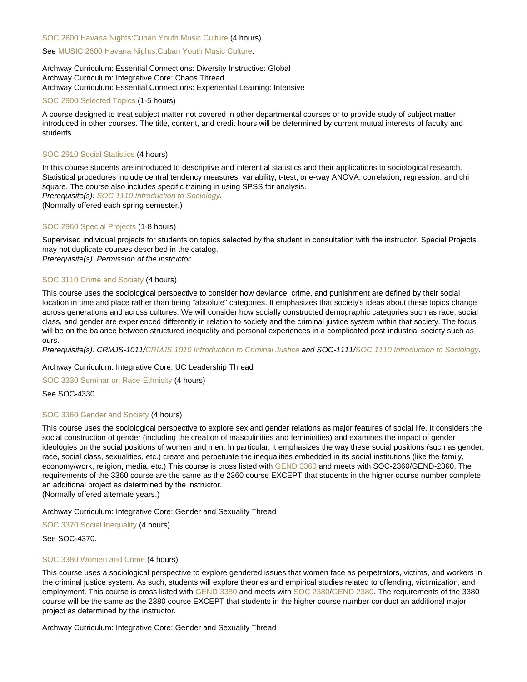#### [SOC 2600 Havana Nights:Cuban Youth Music Culture](https://catalog.nebrwesleyan.edu/node/330740) (4 hours)

#### See [MUSIC 2600 Havana Nights:Cuban Youth Music Culture](https://catalog.nebrwesleyan.edu/cc/2021-2022/course/362862).

Archway Curriculum: Essential Connections: Diversity Instructive: Global Archway Curriculum: Integrative Core: Chaos Thread Archway Curriculum: Essential Connections: Experiential Learning: Intensive

#### [SOC 2900 Selected Topics](https://catalog.nebrwesleyan.edu/node/328708) (1-5 hours)

A course designed to treat subject matter not covered in other departmental courses or to provide study of subject matter introduced in other courses. The title, content, and credit hours will be determined by current mutual interests of faculty and students.

#### [SOC 2910 Social Statistics](https://catalog.nebrwesleyan.edu/node/328052) (4 hours)

In this course students are introduced to descriptive and inferential statistics and their applications to sociological research. Statistical procedures include central tendency measures, variability, t-test, one-way ANOVA, correlation, regression, and chi square. The course also includes specific training in using SPSS for analysis.

Prerequisite(s): [SOC 1110 Introduction to Sociology.](https://catalog.nebrwesleyan.edu/cc/2021-2022/course/360834)

(Normally offered each spring semester.)

#### [SOC 2960 Special Projects](https://catalog.nebrwesleyan.edu/node/328895) (1-8 hours)

Supervised individual projects for students on topics selected by the student in consultation with the instructor. Special Projects may not duplicate courses described in the catalog. Prerequisite(s): Permission of the instructor.

## [SOC 3110 Crime and Society](https://catalog.nebrwesleyan.edu/node/330809) (4 hours)

This course uses the sociological perspective to consider how deviance, crime, and punishment are defined by their social location in time and place rather than being "absolute" categories. It emphasizes that society's ideas about these topics change across generations and across cultures. We will consider how socially constructed demographic categories such as race, social class, and gender are experienced differently in relation to society and the criminal justice system within that society. The focus will be on the balance between structured inequality and personal experiences in a complicated post-industrial society such as ours.

Prerequisite(s): CRMJS-1011[/CRMJS 1010 Introduction to Criminal Justice](https://catalog.nebrwesleyan.edu/cc/2021-2022/course/359875) and SOC-1111[/SOC 1110 Introduction to Sociology](https://catalog.nebrwesleyan.edu/cc/2021-2022/course/360834).

#### Archway Curriculum: Integrative Core: UC Leadership Thread

[SOC 3330 Seminar on Race-Ethnicity](https://catalog.nebrwesleyan.edu/node/328712) (4 hours)

See SOC-4330.

## [SOC 3360 Gender and Society](https://catalog.nebrwesleyan.edu/node/328058) (4 hours)

This course uses the sociological perspective to explore sex and gender relations as major features of social life. It considers the social construction of gender (including the creation of masculinities and femininities) and examines the impact of gender ideologies on the social positions of women and men. In particular, it emphasizes the way these social positions (such as gender, race, social class, sexualities, etc.) create and perpetuate the inequalities embedded in its social institutions (like the family, economy/work, religion, media, etc.) This course is cross listed with [GEND 3360](https://catalog.nebrwesleyan.edu/cc/2021-2022/course/363446) and meets with SOC-2360/GEND-2360. The requirements of the 3360 course are the same as the 2360 course EXCEPT that students in the higher course number complete an additional project as determined by the instructor.

(Normally offered alternate years.)

Archway Curriculum: Integrative Core: Gender and Sexuality Thread

[SOC 3370 Social Inequality](https://catalog.nebrwesleyan.edu/node/328059) (4 hours)

See SOC-4370.

## [SOC 3380 Women and Crime](https://catalog.nebrwesleyan.edu/node/330391) (4 hours)

This course uses a sociological perspective to explore gendered issues that women face as perpetrators, victims, and workers in the criminal justice system. As such, students will explore theories and empirical studies related to offending, victimization, and employment. This course is cross listed with [GEND 3380](https://catalog.nebrwesleyan.edu/cc/2021-2022/course/362525) and meets with [SOC 2380](https://catalog.nebrwesleyan.edu/cc/2021-2022/course/362520)/[GEND 2380](https://catalog.nebrwesleyan.edu/cc/2021-2022/course/362524). The requirements of the 3380 course will be the same as the 2380 course EXCEPT that students in the higher course number conduct an additional major project as determined by the instructor.

Archway Curriculum: Integrative Core: Gender and Sexuality Thread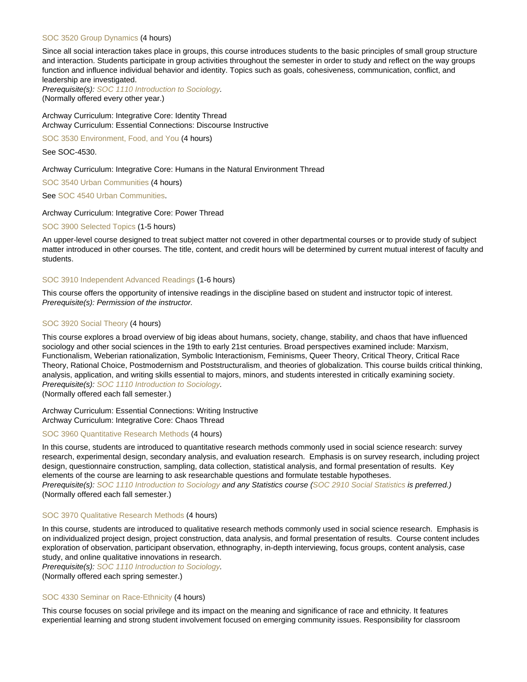#### [SOC 3520 Group Dynamics](https://catalog.nebrwesleyan.edu/node/330641) (4 hours)

Since all social interaction takes place in groups, this course introduces students to the basic principles of small group structure and interaction. Students participate in group activities throughout the semester in order to study and reflect on the way groups function and influence individual behavior and identity. Topics such as goals, cohesiveness, communication, conflict, and leadership are investigated.

Prerequisite(s): [SOC 1110 Introduction to Sociology.](https://catalog.nebrwesleyan.edu/cc/2021-2022/course/360834) (Normally offered every other year.)

Archway Curriculum: Integrative Core: Identity Thread Archway Curriculum: Essential Connections: Discourse Instructive

[SOC 3530 Environment, Food, and You](https://catalog.nebrwesleyan.edu/node/328713) (4 hours)

See SOC-4530.

Archway Curriculum: Integrative Core: Humans in the Natural Environment Thread

[SOC 3540 Urban Communities](https://catalog.nebrwesleyan.edu/node/328714) (4 hours)

See [SOC 4540 Urban Communities.](https://catalog.nebrwesleyan.edu/cc/2021-2022/course/360981)

#### Archway Curriculum: Integrative Core: Power Thread

[SOC 3900 Selected Topics](https://catalog.nebrwesleyan.edu/node/328060) (1-5 hours)

An upper-level course designed to treat subject matter not covered in other departmental courses or to provide study of subject matter introduced in other courses. The title, content, and credit hours will be determined by current mutual interest of faculty and students.

## [SOC 3910 Independent Advanced Readings](https://catalog.nebrwesleyan.edu/node/328715) (1-6 hours)

This course offers the opportunity of intensive readings in the discipline based on student and instructor topic of interest. Prerequisite(s): Permission of the instructor.

## [SOC 3920 Social Theory](https://catalog.nebrwesleyan.edu/node/330029) (4 hours)

This course explores a broad overview of big ideas about humans, society, change, stability, and chaos that have influenced sociology and other social sciences in the 19th to early 21st centuries. Broad perspectives examined include: Marxism, Functionalism, Weberian rationalization, Symbolic Interactionism, Feminisms, Queer Theory, Critical Theory, Critical Race Theory, Rational Choice, Postmodernism and Poststructuralism, and theories of globalization. This course builds critical thinking, analysis, application, and writing skills essential to majors, minors, and students interested in critically examining society. Prerequisite(s): [SOC 1110 Introduction to Sociology.](https://catalog.nebrwesleyan.edu/cc/2021-2022/course/360834)

(Normally offered each fall semester.)

Archway Curriculum: Essential Connections: Writing Instructive Archway Curriculum: Integrative Core: Chaos Thread

#### [SOC 3960 Quantitative Research Methods](https://catalog.nebrwesleyan.edu/node/328717) (4 hours)

In this course, students are introduced to quantitative research methods commonly used in social science research: survey research, experimental design, secondary analysis, and evaluation research. Emphasis is on survey research, including project design, questionnaire construction, sampling, data collection, statistical analysis, and formal presentation of results. Key elements of the course are learning to ask researchable questions and formulate testable hypotheses. Prerequisite(s): [SOC 1110 Introduction to Sociology](https://catalog.nebrwesleyan.edu/cc/2021-2022/course/360834) and any Statistics course ([SOC 2910 Social Statistics](https://catalog.nebrwesleyan.edu/cc/2021-2022/course/360189) is preferred.) (Normally offered each fall semester.)

#### [SOC 3970 Qualitative Research Methods](https://catalog.nebrwesleyan.edu/node/328718) (4 hours)

In this course, students are introduced to qualitative research methods commonly used in social science research. Emphasis is on individualized project design, project construction, data analysis, and formal presentation of results. Course content includes exploration of observation, participant observation, ethnography, in-depth interviewing, focus groups, content analysis, case study, and online qualitative innovations in research.

Prerequisite(s): [SOC 1110 Introduction to Sociology.](https://catalog.nebrwesleyan.edu/cc/2021-2022/course/360834)

(Normally offered each spring semester.)

## [SOC 4330 Seminar on Race-Ethnicity](https://catalog.nebrwesleyan.edu/node/328844) (4 hours)

This course focuses on social privilege and its impact on the meaning and significance of race and ethnicity. It features experiential learning and strong student involvement focused on emerging community issues. Responsibility for classroom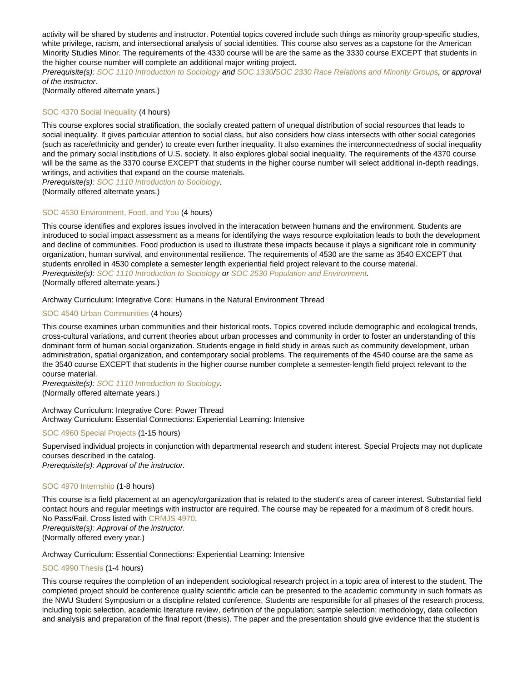activity will be shared by students and instructor. Potential topics covered include such things as minority group-specific studies, white privilege, racism, and intersectional analysis of social identities. This course also serves as a capstone for the American Minority Studies Minor. The requirements of the 4330 course will be are the same as the 3330 course EXCEPT that students in the higher course number will complete an additional major writing project.

Prerequisite(s): [SOC 1110 Introduction to Sociology](https://catalog.nebrwesleyan.edu/cc/2021-2022/course/360834) and [SOC 1330/](https://catalog.nebrwesleyan.edu/cc/2021-2022/course/360836)[SOC 2330 Race Relations and Minority Groups](https://catalog.nebrwesleyan.edu/cc/2021-2022/course/360976), or approval of the instructor.

(Normally offered alternate years.)

## [SOC 4370 Social Inequality](https://catalog.nebrwesleyan.edu/node/328845) (4 hours)

This course explores social stratification, the socially created pattern of unequal distribution of social resources that leads to social inequality. It gives particular attention to social class, but also considers how class intersects with other social categories (such as race/ethnicity and gender) to create even further inequality. It also examines the interconnectedness of social inequality and the primary social institutions of U.S. society. It also explores global social inequality. The requirements of the 4370 course will be the same as the 3370 course EXCEPT that students in the higher course number will select additional in-depth readings, writings, and activities that expand on the course materials.

Prerequisite(s): [SOC 1110 Introduction to Sociology.](https://catalog.nebrwesleyan.edu/cc/2021-2022/course/360834)

(Normally offered alternate years.)

#### [SOC 4530 Environment, Food, and You](https://catalog.nebrwesleyan.edu/node/328846) (4 hours)

This course identifies and explores issues involved in the interacation between humans and the environment. Students are introduced to social impact assessment as a means for identifying the ways resource exploitation leads to both the development and decline of communities. Food production is used to illustrate these impacts because it plays a significant role in community organization, human survival, and environmental resilience. The requirements of 4530 are the same as 3540 EXCEPT that students enrolled in 4530 complete a semester length experiential field project relevant to the course material. Prerequisite(s): [SOC 1110 Introduction to Sociology](https://catalog.nebrwesleyan.edu/cc/2021-2022/course/360834) or [SOC 2530 Population and Environment](https://catalog.nebrwesleyan.edu/cc/2021-2022/course/360841). (Normally offered alternate years.)

#### Archway Curriculum: Integrative Core: Humans in the Natural Environment Thread

## [SOC 4540 Urban Communities](https://catalog.nebrwesleyan.edu/node/328847) (4 hours)

This course examines urban communities and their historical roots. Topics covered include demographic and ecological trends, cross-cultural variations, and current theories about urban processes and community in order to foster an understanding of this dominant form of human social organization. Students engage in field study in areas such as community development, urban administration, spatial organization, and contemporary social problems. The requirements of the 4540 course are the same as the 3540 course EXCEPT that students in the higher course number complete a semester-length field project relevant to the course material.

Prerequisite(s): [SOC 1110 Introduction to Sociology.](https://catalog.nebrwesleyan.edu/cc/2021-2022/course/360834) (Normally offered alternate years.)

Archway Curriculum: Integrative Core: Power Thread Archway Curriculum: Essential Connections: Experiential Learning: Intensive

#### [SOC 4960 Special Projects](https://catalog.nebrwesleyan.edu/node/328069) (1-15 hours)

Supervised individual projects in conjunction with departmental research and student interest. Special Projects may not duplicate courses described in the catalog.

Prerequisite(s): Approval of the instructor.

#### [SOC 4970 Internship](https://catalog.nebrwesleyan.edu/node/328070) (1-8 hours)

This course is a field placement at an agency/organization that is related to the student's area of career interest. Substantial field contact hours and regular meetings with instructor are required. The course may be repeated for a maximum of 8 credit hours. No Pass/Fail. Cross listed with [CRMJS 4970.](https://catalog.nebrwesleyan.edu/cc/2021-2022/course/359887)

Prerequisite(s): Approval of the instructor. (Normally offered every year.)

Archway Curriculum: Essential Connections: Experiential Learning: Intensive

#### [SOC 4990 Thesis](https://catalog.nebrwesleyan.edu/node/328071) (1-4 hours)

This course requires the completion of an independent sociological research project in a topic area of interest to the student. The completed project should be conference quality scientific article can be presented to the academic community in such formats as the NWU Student Symposium or a discipline related conference. Students are responsible for all phases of the research process, including topic selection, academic literature review, definition of the population; sample selection; methodology, data collection and analysis and preparation of the final report (thesis). The paper and the presentation should give evidence that the student is